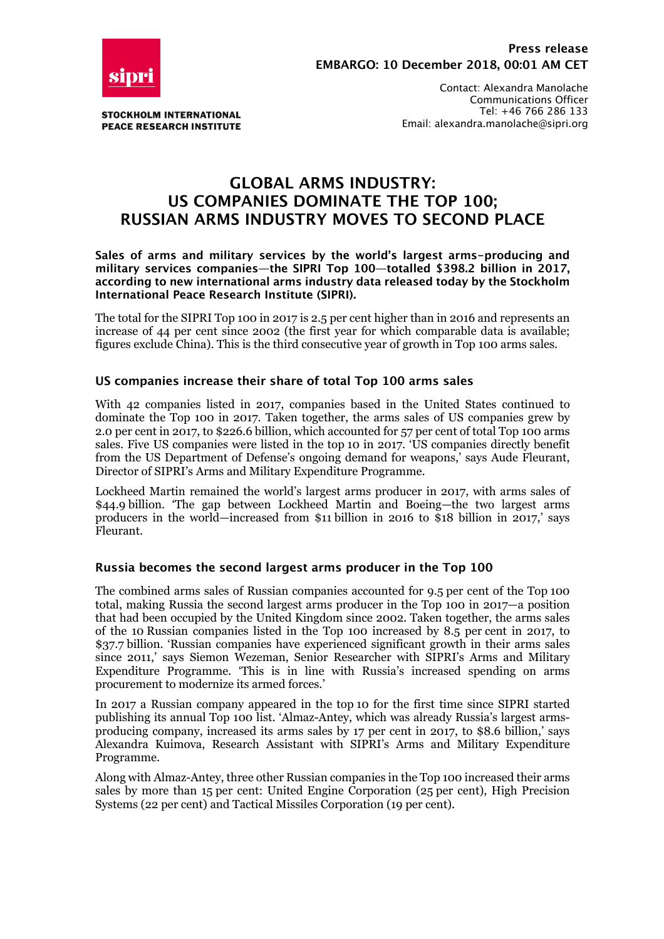

**STOCKHOLM INTERNATIONAL PEACE RESEARCH INSTITUTE** 

Contact: Alexandra Manolache Communications Officer Tel: +46 766 286 133 Email: alexandra.manolache@sipri.org

# **GLOBAL ARMS INDUSTRY: US COMPANIES DOMINATE THE TOP 100; RUSSIAN ARMS INDUSTRY MOVES TO SECOND PLACE**

**Sales of arms and military services by the world's largest arms-producing and military services companies—the SIPRI Top 100—totalled \$398.2 billion in 2017, according to new international arms industry data released today by the Stockholm International Peace Research Institute (SIPRI).**

The total for the SIPRI Top 100 in 2017 is 2.5 per cent higher than in 2016 and represents an increase of 44 per cent since 2002 (the first year for which comparable data is available; figures exclude China). This is the third consecutive year of growth in Top 100 arms sales.

### **US companies increase their share of total Top 100 arms sales**

With 42 companies listed in 2017, companies based in the United States continued to dominate the Top 100 in 2017. Taken together, the arms sales of US companies grew by 2.0 per cent in 2017, to \$226.6 billion, which accounted for 57 per cent of total Top 100 arms sales. Five US companies were listed in the top 10 in 2017. 'US companies directly benefit from the US Department of Defense's ongoing demand for weapons,' says Aude Fleurant, Director of SIPRI's Arms and Military Expenditure Programme.

Lockheed Martin remained the world's largest arms producer in 2017, with arms sales of \$44.9 billion. 'The gap between Lockheed Martin and Boeing—the two largest arms producers in the world—increased from \$11 billion in 2016 to  $$18$  billion in 2017,' says Fleurant.

### **Russia becomes the second largest arms producer in the Top 100**

The combined arms sales of Russian companies accounted for 9.5 per cent of the Top 100 total, making Russia the second largest arms producer in the Top 100 in 2017—a position that had been occupied by the United Kingdom since 2002. Taken together, the arms sales of the 10 Russian companies listed in the Top 100 increased by 8.5 per cent in 2017, to \$37.7 billion. 'Russian companies have experienced significant growth in their arms sales since 2011,' says Siemon Wezeman, Senior Researcher with SIPRI's Arms and Military Expenditure Programme. 'This is in line with Russia's increased spending on arms procurement to modernize its armed forces.'

In 2017 a Russian company appeared in the top 10 for the first time since SIPRI started publishing its annual Top 100 list. 'Almaz-Antey, which was already Russia's largest armsproducing company, increased its arms sales by 17 per cent in 2017, to \$8.6 billion,' says Alexandra Kuimova, Research Assistant with SIPRI's Arms and Military Expenditure Programme.

Along with Almaz-Antey, three other Russian companies in the Top 100 increased their arms sales by more than 15 per cent: United Engine Corporation (25 per cent), High Precision Systems (22 per cent) and Tactical Missiles Corporation (19 per cent).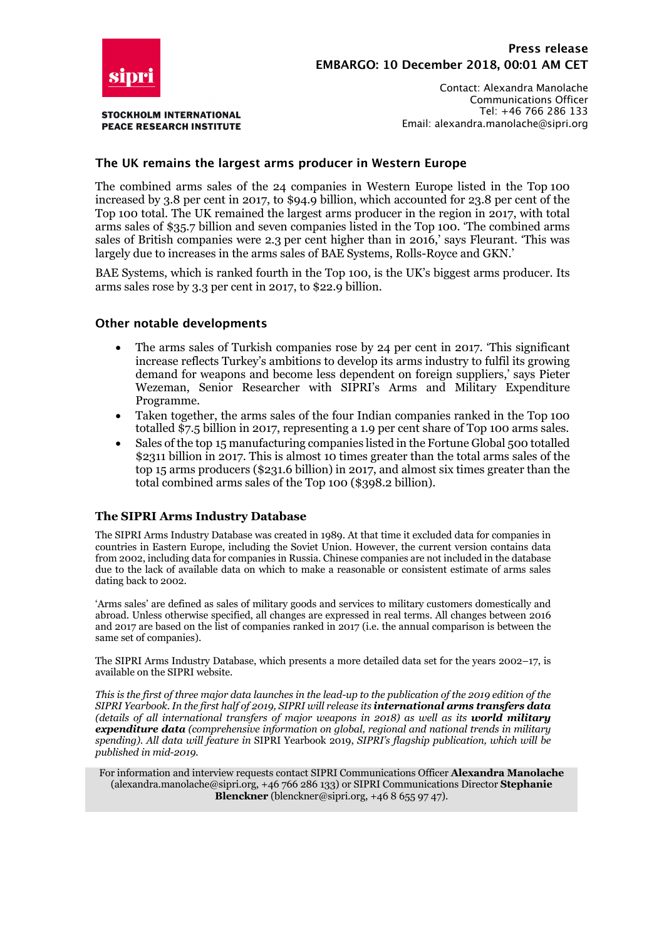

**STOCKHOLM INTERNATIONAL PEACE RESEARCH INSTITUTE** 

Contact: Alexandra Manolache Communications Officer Tel: +46 766 286 133 Email: alexandra.manolache@sipri.org

## **The UK remains the largest arms producer in Western Europe**

The combined arms sales of the 24 companies in Western Europe listed in the Top 100 increased by 3.8 per cent in 2017, to \$94.9 billion, which accounted for 23.8 per cent of the Top 100 total. The UK remained the largest arms producer in the region in 2017, with total arms sales of \$35.7 billion and seven companies listed in the Top 100. 'The combined arms sales of British companies were 2.3 per cent higher than in 2016,' says Fleurant. 'This was largely due to increases in the arms sales of BAE Systems, Rolls-Royce and GKN.'

BAE Systems, which is ranked fourth in the Top 100, is the UK's biggest arms producer. Its arms sales rose by 3.3 per cent in 2017, to \$22.9 billion.

#### **Other notable developments**

- The arms sales of Turkish companies rose by 24 per cent in 2017. 'This significant increase reflects Turkey's ambitions to develop its arms industry to fulfil its growing demand for weapons and become less dependent on foreign suppliers,' says Pieter Wezeman, Senior Researcher with SIPRI's Arms and Military Expenditure Programme.
- Taken together, the arms sales of the four Indian companies ranked in the Top 100 totalled \$7.5 billion in 2017, representing a 1.9 per cent share of Top 100 arms sales.
- Sales of the top 15 manufacturing companies listed in the Fortune Global 500 totalled \$2311 billion in 2017. This is almost 10 times greater than the total arms sales of the top 15 arms producers (\$231.6 billion) in 2017, and almost six times greater than the total combined arms sales of the Top 100 (\$398.2 billion).

#### **The SIPRI Arms Industry Database**

The SIPRI Arms Industry Database was created in 1989. At that time it excluded data for companies in countries in Eastern Europe, including the Soviet Union. However, the current version contains data from 2002, including data for companies in Russia. Chinese companies are not included in the database due to the lack of available data on which to make a reasonable or consistent estimate of arms sales dating back to 2002.

'Arms sales' are defined as sales of military goods and services to military customers domestically and abroad. Unless otherwise specified, all changes are expressed in real terms. All changes between 2016 and 2017 are based on the list of companies ranked in 2017 (i.e. the annual comparison is between the same set of companies).

The SIPRI Arms Industry Database, which presents a more detailed data set for the years 2002–17, is available on the SIPRI website.

*This is the first of three major data launches in the lead-up to the publication of the 2019 edition of the SIPRI Yearbook. In the first half of 2019, SIPRI will release its international arms transfers data (details of all international transfers of major weapons in 2018) as well as its world military expenditure data (comprehensive information on global, regional and national trends in military spending). All data will feature in* SIPRI Yearbook 2019, *SIPRI's flagship publication, which will be published in mid-2019.*

For information and interview requests contact SIPRI Communications Officer **Alexandra Manolache** (alexandra.manolache@sipri.org, +46 766 286 133) or SIPRI Communications Director **Stephanie Blenckner** (blenckner@sipri.org, +46 8 655 97 47).